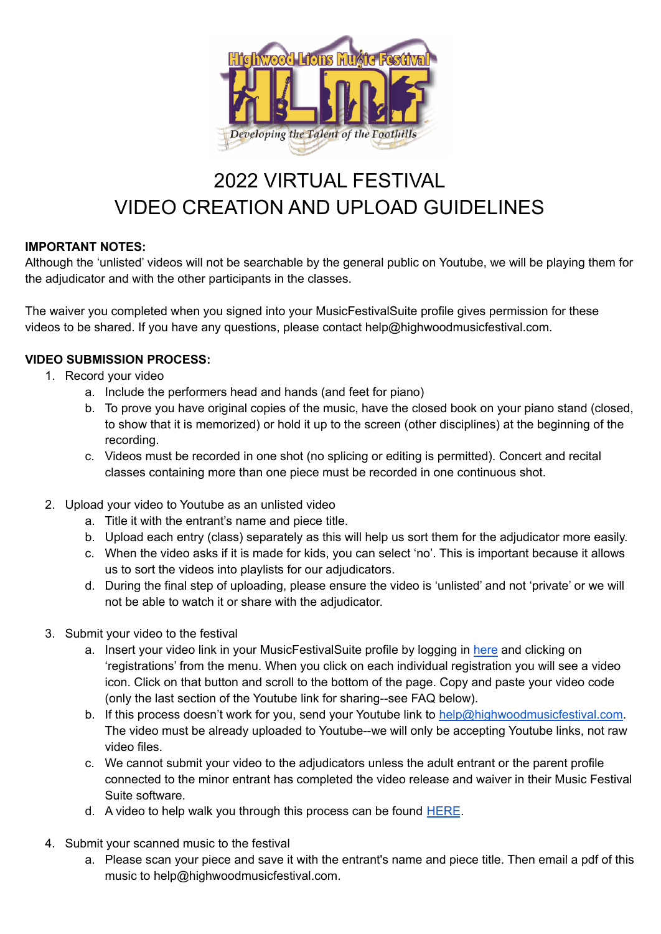

# 2022 VIRTUAL FESTIVAL VIDEO CREATION AND UPLOAD GUIDELINES

## **IMPORTANT NOTES:**

Although the 'unlisted' videos will not be searchable by the general public on Youtube, we will be playing them for the adjudicator and with the other participants in the classes.

The waiver you completed when you signed into your MusicFestivalSuite profile gives permission for these videos to be shared. If you have any questions, please contact help@highwoodmusicfestival.com.

## **VIDEO SUBMISSION PROCESS:**

- 1. Record your video
	- a. Include the performers head and hands (and feet for piano)
	- b. To prove you have original copies of the music, have the closed book on your piano stand (closed, to show that it is memorized) or hold it up to the screen (other disciplines) at the beginning of the recording.
	- c. Videos must be recorded in one shot (no splicing or editing is permitted). Concert and recital classes containing more than one piece must be recorded in one continuous shot.
- 2. Upload your video to Youtube as an unlisted video
	- a. Title it with the entrant's name and piece title.
	- b. Upload each entry (class) separately as this will help us sort them for the adjudicator more easily.
	- c. When the video asks if it is made for kids, you can select 'no'. This is important because it allows us to sort the videos into playlists for our adjudicators.
	- d. During the final step of uploading, please ensure the video is 'unlisted' and not 'private' or we will not be able to watch it or share with the adjudicator.
- 3. Submit your video to the festival
	- a. Insert your video link in your MusicFestivalSuite profile by logging in [here](https://www.musicfestivalsuite.com/cgi-bin/accprof.cgi?evdmn=hlmf) and clicking on 'registrations' from the menu. When you click on each individual registration you will see a video icon. Click on that button and scroll to the bottom of the page. Copy and paste your video code (only the last section of the Youtube link for sharing--see FAQ below).
	- b. If this process doesn't work for you, send your Youtube link to [help@highwoodmusicfestival.com.](mailto:help@highwoodmusicfestival.com) The video must be already uploaded to Youtube--we will only be accepting Youtube links, not raw video files.
	- c. We cannot submit your video to the adjudicators unless the adult entrant or the parent profile connected to the minor entrant has completed the video release and waiver in their Music Festival Suite software.
	- d. A video to help walk you through this process can be found  $HERE$ .
- 4. Submit your scanned music to the festival
	- a. Please scan your piece and save it with the entrant's name and piece title. Then email a pdf of this music to help@highwoodmusicfestival.com.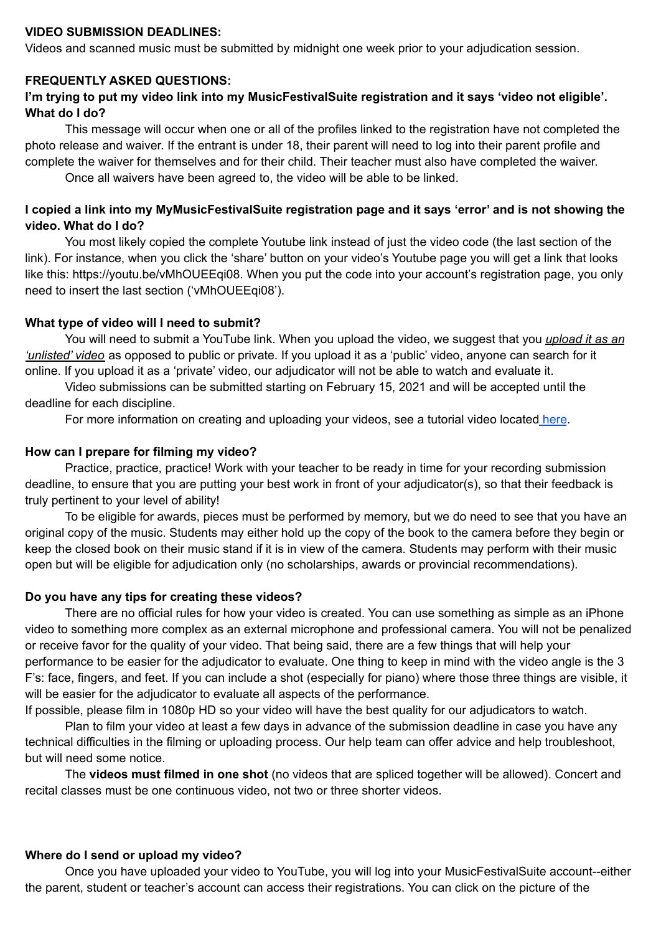#### **VIDEO SUBMISSION DEADLINES:**

Videos and scanned music must be submitted by midnight one week prior to your adjudication session.

### **FREQUENTLY ASKED QUESTIONS:**

## **I'm trying to put my video link into my MusicFestivalSuite registration and it says 'video not eligible'. What do I do?**

This message will occur when one or all of the profiles linked to the registration have not completed the photo release and waiver. If the entrant is under 18, their parent will need to log into their parent profile and complete the waiver for themselves and for their child. Their teacher must also have completed the waiver.

Once all waivers have been agreed to, the video will be able to be linked.

## I copied a link into my MyMusicFestivalSuite registration page and it says 'error' and is not showing the **video. What do I do?**

You most likely copied the complete Youtube link instead of just the video code (the last section of the link). For instance, when you click the 'share' button on your video's Youtube page you will get a link that looks like this: https://youtu.be/vMhOUEEqi08. When you put the code into your account's registration page, you only need to insert the last section ('vMhOUEEqi08').

## **What type of video will I need to submit?**

You will need to submit a YouTube link. When you upload the video, we suggest that you *upload it as an 'unlisted' video* as opposed to public or private. If you upload it as a 'public' video, anyone can search for it online. If you upload it as a 'private' video, our adjudicator will not be able to watch and evaluate it.

Video submissions can be submitted starting on February 15, 2021 and will be accepted until the deadline for each discipline.

For more information on creating and uploading your videos, see a tutorial video located [here](https://youtu.be/YtsiEtpkYNc).

### **How can I prepare for filming my video?**

Practice, practice, practice! Work with your teacher to be ready in time for your recording submission deadline, to ensure that you are putting your best work in front of your adjudicator(s), so that their feedback is truly pertinent to your level of ability!

To be eligible for awards, pieces must be performed by memory, but we do need to see that you have an original copy of the music. Students may either hold up the copy of the book to the camera before they begin or keep the closed book on their music stand if it is in view of the camera. Students may perform with their music open but will be eligible for adjudication only (no scholarships, awards or provincial recommendations).

#### **Do you have any tips for creating these videos?**

There are no official rules for how your video is created. You can use something as simple as an iPhone video to something more complex as an external microphone and professional camera. You will not be penalized or receive favor for the quality of your video. That being said, there are a few things that will help your performance to be easier for the adjudicator to evaluate. One thing to keep in mind with the video angle is the 3 F's: face, fingers, and feet. If you can include a shot (especially for piano) where those three things are visible, it will be easier for the adjudicator to evaluate all aspects of the performance.

If possible, please film in 1080p HD so your video will have the best quality for our adjudicators to watch.

Plan to film your video at least a few days in advance of the submission deadline in case you have any technical difficulties in the filming or uploading process. Our help team can offer advice and help troubleshoot, but will need some notice.

The **videos must filmed in one shot** (no videos that are spliced together will be allowed). Concert and recital classes must be one continuous video, not two or three shorter videos.

#### **Where do I send or upload my video?**

Once you have uploaded your video to YouTube, you will log into your MusicFestivalSuite account--either the parent, student or teacher's account can access their registrations. You can click on the picture of the